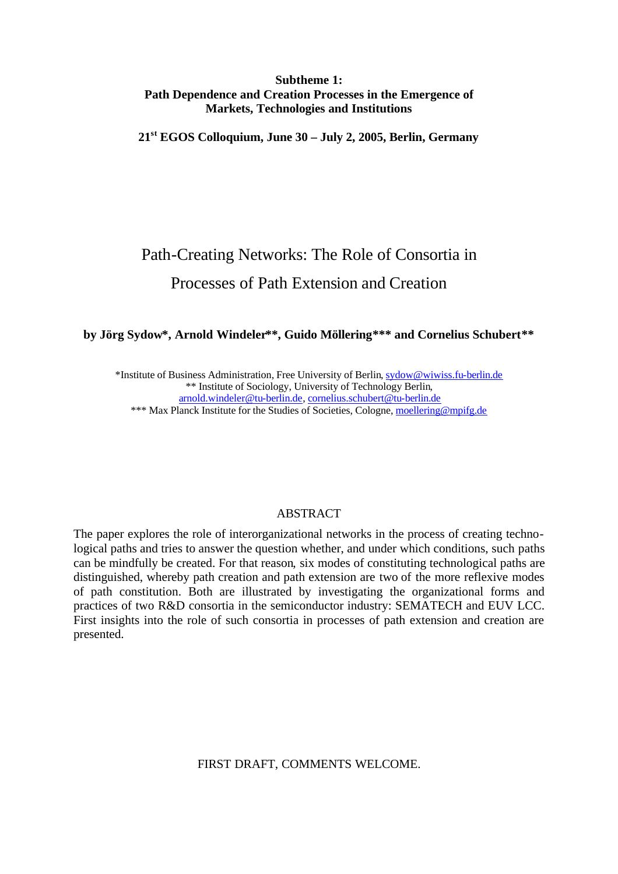# **Subtheme 1: Path Dependence and Creation Processes in the Emergence of Markets, Technologies and Institutions**

**21st EGOS Colloquium, June 30 – July 2, 2005, Berlin, Germany**

# Path-Creating Networks: The Role of Consortia in Processes of Path Extension and Creation

# **by Jörg Sydow\*, Arnold Windeler\*\*, Guido Möllering\*\*\* and Cornelius Schubert\*\***

\*Institute of Business Administration, Free University of Berlin, sydow@wiwiss.fu-berlin.de \*\* Institute of Sociology, University of Technology Berlin, arnold.windeler@tu-berlin.de, cornelius.schubert@tu-berlin.de

\*\*\* Max Planck Institute for the Studies of Societies, Cologne, moellering@mpifg.de

### **ABSTRACT**

The paper explores the role of interorganizational networks in the process of creating technological paths and tries to answer the question whether, and under which conditions, such paths can be mindfully be created. For that reason, six modes of constituting technological paths are distinguished, whereby path creation and path extension are two of the more reflexive modes of path constitution. Both are illustrated by investigating the organizational forms and practices of two R&D consortia in the semiconductor industry: SEMATECH and EUV LCC. First insights into the role of such consortia in processes of path extension and creation are presented.

FIRST DRAFT, COMMENTS WELCOME.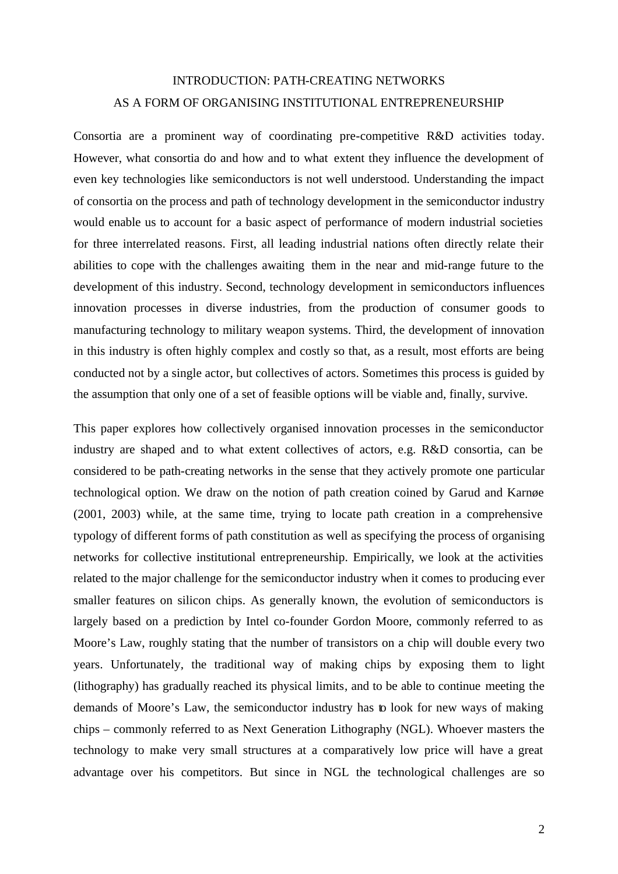# INTRODUCTION: PATH-CREATING NETWORKS AS A FORM OF ORGANISING INSTITUTIONAL ENTREPRENEURSHIP

Consortia are a prominent way of coordinating pre-competitive R&D activities today. However, what consortia do and how and to what extent they influence the development of even key technologies like semiconductors is not well understood. Understanding the impact of consortia on the process and path of technology development in the semiconductor industry would enable us to account for a basic aspect of performance of modern industrial societies for three interrelated reasons. First, all leading industrial nations often directly relate their abilities to cope with the challenges awaiting them in the near and mid-range future to the development of this industry. Second, technology development in semiconductors influences innovation processes in diverse industries, from the production of consumer goods to manufacturing technology to military weapon systems. Third, the development of innovation in this industry is often highly complex and costly so that, as a result, most efforts are being conducted not by a single actor, but collectives of actors. Sometimes this process is guided by the assumption that only one of a set of feasible options will be viable and, finally, survive.

This paper explores how collectively organised innovation processes in the semiconductor industry are shaped and to what extent collectives of actors, e.g. R&D consortia, can be considered to be path-creating networks in the sense that they actively promote one particular technological option. We draw on the notion of path creation coined by Garud and Karnøe (2001, 2003) while, at the same time, trying to locate path creation in a comprehensive typology of different forms of path constitution as well as specifying the process of organising networks for collective institutional entrepreneurship. Empirically, we look at the activities related to the major challenge for the semiconductor industry when it comes to producing ever smaller features on silicon chips. As generally known, the evolution of semiconductors is largely based on a prediction by Intel co-founder Gordon Moore, commonly referred to as Moore's Law, roughly stating that the number of transistors on a chip will double every two years. Unfortunately, the traditional way of making chips by exposing them to light (lithography) has gradually reached its physical limits, and to be able to continue meeting the demands of Moore's Law, the semiconductor industry has to look for new ways of making chips – commonly referred to as Next Generation Lithography (NGL). Whoever masters the technology to make very small structures at a comparatively low price will have a great advantage over his competitors. But since in NGL the technological challenges are so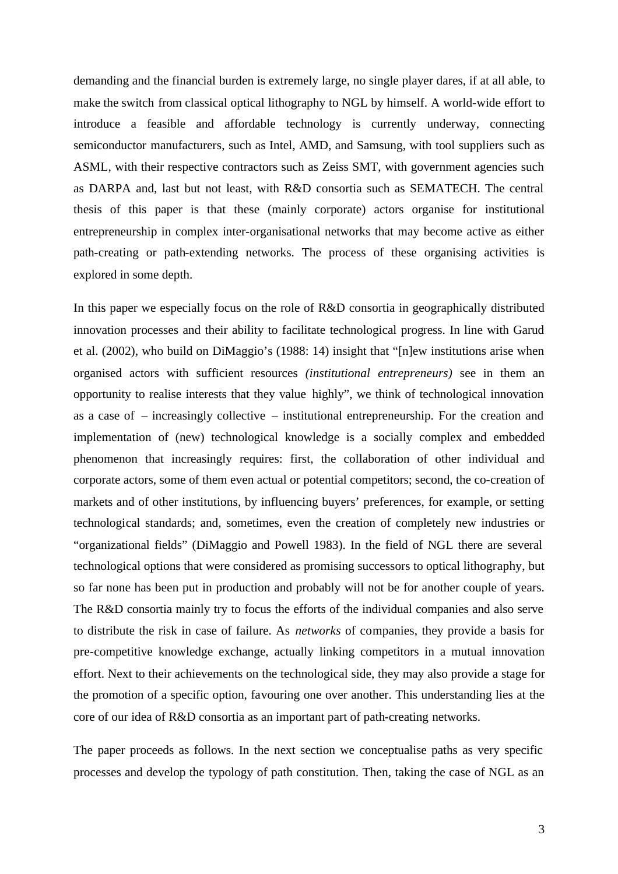demanding and the financial burden is extremely large, no single player dares, if at all able, to make the switch from classical optical lithography to NGL by himself. A world-wide effort to introduce a feasible and affordable technology is currently underway, connecting semiconductor manufacturers, such as Intel, AMD, and Samsung, with tool suppliers such as ASML, with their respective contractors such as Zeiss SMT, with government agencies such as DARPA and, last but not least, with R&D consortia such as SEMATECH. The central thesis of this paper is that these (mainly corporate) actors organise for institutional entrepreneurship in complex inter-organisational networks that may become active as either path-creating or path-extending networks. The process of these organising activities is explored in some depth.

In this paper we especially focus on the role of R&D consortia in geographically distributed innovation processes and their ability to facilitate technological progress. In line with Garud et al. (2002), who build on DiMaggio's (1988: 14) insight that "[n]ew institutions arise when organised actors with sufficient resources *(institutional entrepreneurs)* see in them an opportunity to realise interests that they value highly", we think of technological innovation as a case of – increasingly collective – institutional entrepreneurship. For the creation and implementation of (new) technological knowledge is a socially complex and embedded phenomenon that increasingly requires: first, the collaboration of other individual and corporate actors, some of them even actual or potential competitors; second, the co-creation of markets and of other institutions, by influencing buyers' preferences, for example, or setting technological standards; and, sometimes, even the creation of completely new industries or "organizational fields" (DiMaggio and Powell 1983). In the field of NGL there are several technological options that were considered as promising successors to optical lithography, but so far none has been put in production and probably will not be for another couple of years. The R&D consortia mainly try to focus the efforts of the individual companies and also serve to distribute the risk in case of failure. As *networks* of companies, they provide a basis for pre-competitive knowledge exchange, actually linking competitors in a mutual innovation effort. Next to their achievements on the technological side, they may also provide a stage for the promotion of a specific option, favouring one over another. This understanding lies at the core of our idea of R&D consortia as an important part of path-creating networks.

The paper proceeds as follows. In the next section we conceptualise paths as very specific processes and develop the typology of path constitution. Then, taking the case of NGL as an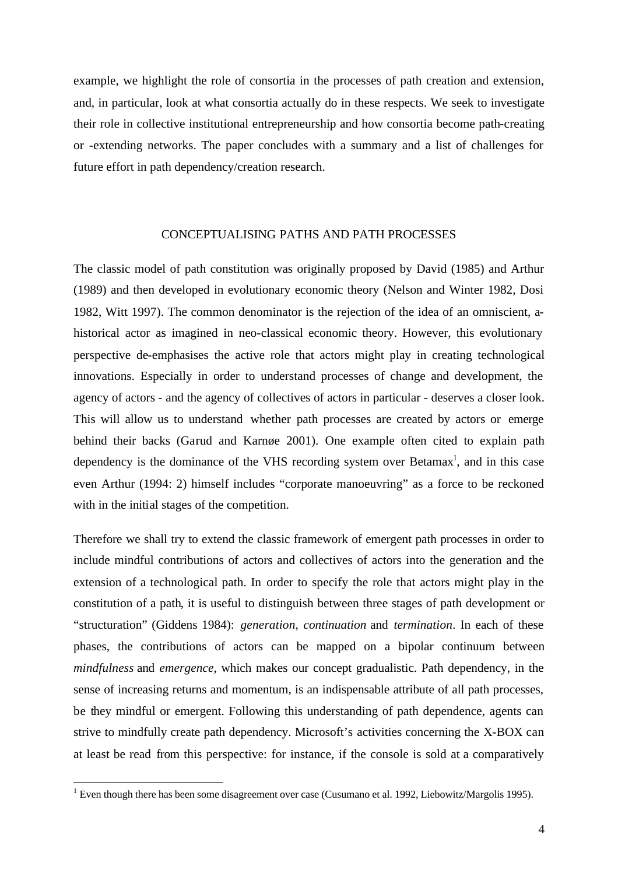example, we highlight the role of consortia in the processes of path creation and extension, and, in particular, look at what consortia actually do in these respects. We seek to investigate their role in collective institutional entrepreneurship and how consortia become path-creating or -extending networks. The paper concludes with a summary and a list of challenges for future effort in path dependency/creation research.

#### CONCEPTUALISING PATHS AND PATH PROCESSES

The classic model of path constitution was originally proposed by David (1985) and Arthur (1989) and then developed in evolutionary economic theory (Nelson and Winter 1982, Dosi 1982, Witt 1997). The common denominator is the rejection of the idea of an omniscient, ahistorical actor as imagined in neo-classical economic theory. However, this evolutionary perspective de-emphasises the active role that actors might play in creating technological innovations. Especially in order to understand processes of change and development, the agency of actors - and the agency of collectives of actors in particular - deserves a closer look. This will allow us to understand whether path processes are created by actors or emerge behind their backs (Garud and Karnøe 2001). One example often cited to explain path dependency is the dominance of the VHS recording system over Betamax<sup>1</sup>, and in this case even Arthur (1994: 2) himself includes "corporate manoeuvring" as a force to be reckoned with in the initial stages of the competition.

Therefore we shall try to extend the classic framework of emergent path processes in order to include mindful contributions of actors and collectives of actors into the generation and the extension of a technological path. In order to specify the role that actors might play in the constitution of a path, it is useful to distinguish between three stages of path development or "structuration" (Giddens 1984): *generation*, *continuation* and *termination*. In each of these phases, the contributions of actors can be mapped on a bipolar continuum between *mindfulness* and *emergence*, which makes our concept gradualistic. Path dependency, in the sense of increasing returns and momentum, is an indispensable attribute of all path processes, be they mindful or emergent. Following this understanding of path dependence, agents can strive to mindfully create path dependency. Microsoft's activities concerning the X-BOX can at least be read from this perspective: for instance, if the console is sold at a comparatively

<sup>&</sup>lt;sup>1</sup> Even though there has been some disagreement over case (Cusumano et al. 1992, Liebowitz/Margolis 1995).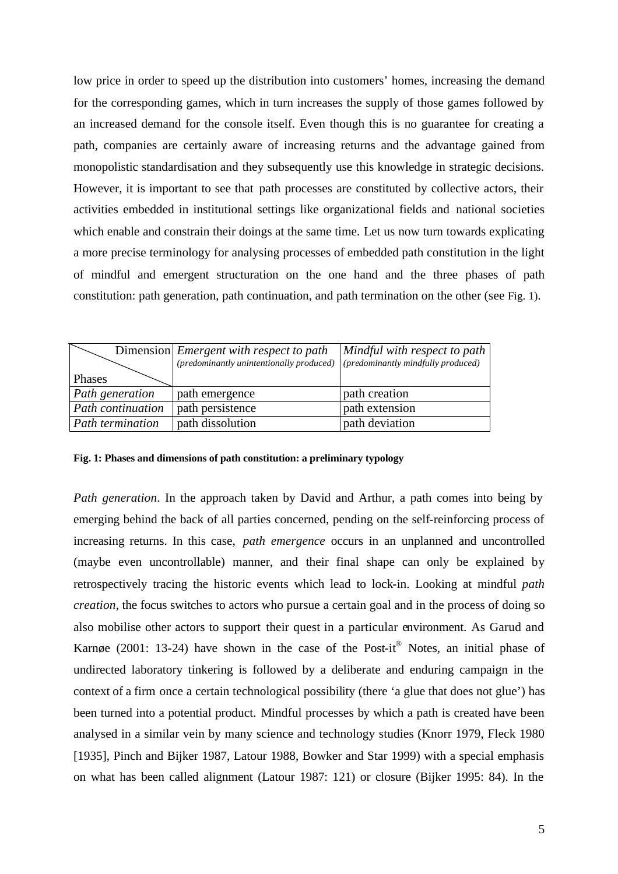low price in order to speed up the distribution into customers' homes, increasing the demand for the corresponding games, which in turn increases the supply of those games followed by an increased demand for the console itself. Even though this is no guarantee for creating a path, companies are certainly aware of increasing returns and the advantage gained from monopolistic standardisation and they subsequently use this knowledge in strategic decisions. However, it is important to see that path processes are constituted by collective actors, their activities embedded in institutional settings like organizational fields and national societies which enable and constrain their doings at the same time. Let us now turn towards explicating a more precise terminology for analysing processes of embedded path constitution in the light of mindful and emergent structuration on the one hand and the three phases of path constitution: path generation, path continuation, and path termination on the other (see Fig. 1).

|                          | Dimension <i>Emergent with respect to path</i>                                  | Mindful with respect to path |
|--------------------------|---------------------------------------------------------------------------------|------------------------------|
|                          | (predominantly unintentionally produced) $ $ (predominantly mindfully produced) |                              |
| Phases                   |                                                                                 |                              |
| Path generation          | path emergence                                                                  | path creation                |
| <b>Path continuation</b> | path persistence                                                                | path extension               |
| Path termination         | path dissolution                                                                | path deviation               |

#### **Fig. 1: Phases and dimensions of path constitution: a preliminary typology**

*Path generation*. In the approach taken by David and Arthur, a path comes into being by emerging behind the back of all parties concerned, pending on the self-reinforcing process of increasing returns. In this case, *path emergence* occurs in an unplanned and uncontrolled (maybe even uncontrollable) manner, and their final shape can only be explained by retrospectively tracing the historic events which lead to lock-in. Looking at mindful *path creation*, the focus switches to actors who pursue a certain goal and in the process of doing so also mobilise other actors to support their quest in a particular environment. As Garud and Karnøe (2001: 13-24) have shown in the case of the Post-it® Notes, an initial phase of undirected laboratory tinkering is followed by a deliberate and enduring campaign in the context of a firm once a certain technological possibility (there 'a glue that does not glue') has been turned into a potential product. Mindful processes by which a path is created have been analysed in a similar vein by many science and technology studies (Knorr 1979, Fleck 1980 [1935], Pinch and Bijker 1987, Latour 1988, Bowker and Star 1999) with a special emphasis on what has been called alignment (Latour 1987: 121) or closure (Bijker 1995: 84). In the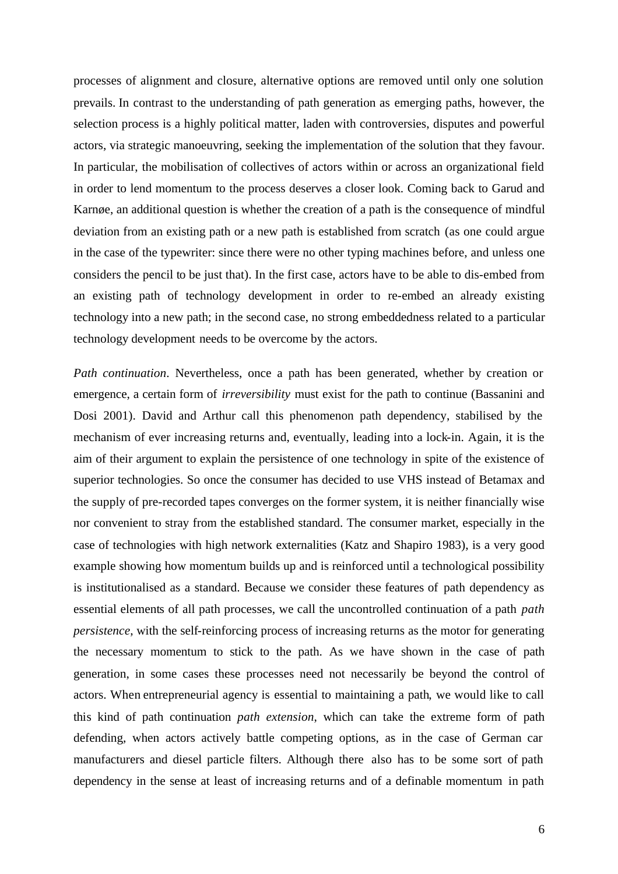processes of alignment and closure, alternative options are removed until only one solution prevails. In contrast to the understanding of path generation as emerging paths, however, the selection process is a highly political matter, laden with controversies, disputes and powerful actors, via strategic manoeuvring, seeking the implementation of the solution that they favour. In particular, the mobilisation of collectives of actors within or across an organizational field in order to lend momentum to the process deserves a closer look. Coming back to Garud and Karnøe, an additional question is whether the creation of a path is the consequence of mindful deviation from an existing path or a new path is established from scratch (as one could argue in the case of the typewriter: since there were no other typing machines before, and unless one considers the pencil to be just that). In the first case, actors have to be able to dis-embed from an existing path of technology development in order to re-embed an already existing technology into a new path; in the second case, no strong embeddedness related to a particular technology development needs to be overcome by the actors.

*Path continuation*. Nevertheless, once a path has been generated, whether by creation or emergence, a certain form of *irreversibility* must exist for the path to continue (Bassanini and Dosi 2001). David and Arthur call this phenomenon path dependency, stabilised by the mechanism of ever increasing returns and, eventually, leading into a lock-in. Again, it is the aim of their argument to explain the persistence of one technology in spite of the existence of superior technologies. So once the consumer has decided to use VHS instead of Betamax and the supply of pre-recorded tapes converges on the former system, it is neither financially wise nor convenient to stray from the established standard. The consumer market, especially in the case of technologies with high network externalities (Katz and Shapiro 1983), is a very good example showing how momentum builds up and is reinforced until a technological possibility is institutionalised as a standard. Because we consider these features of path dependency as essential elements of all path processes, we call the uncontrolled continuation of a path *path persistence*, with the self-reinforcing process of increasing returns as the motor for generating the necessary momentum to stick to the path. As we have shown in the case of path generation, in some cases these processes need not necessarily be beyond the control of actors. When entrepreneurial agency is essential to maintaining a path, we would like to call this kind of path continuation *path extension*, which can take the extreme form of path defending, when actors actively battle competing options, as in the case of German car manufacturers and diesel particle filters. Although there also has to be some sort of path dependency in the sense at least of increasing returns and of a definable momentum in path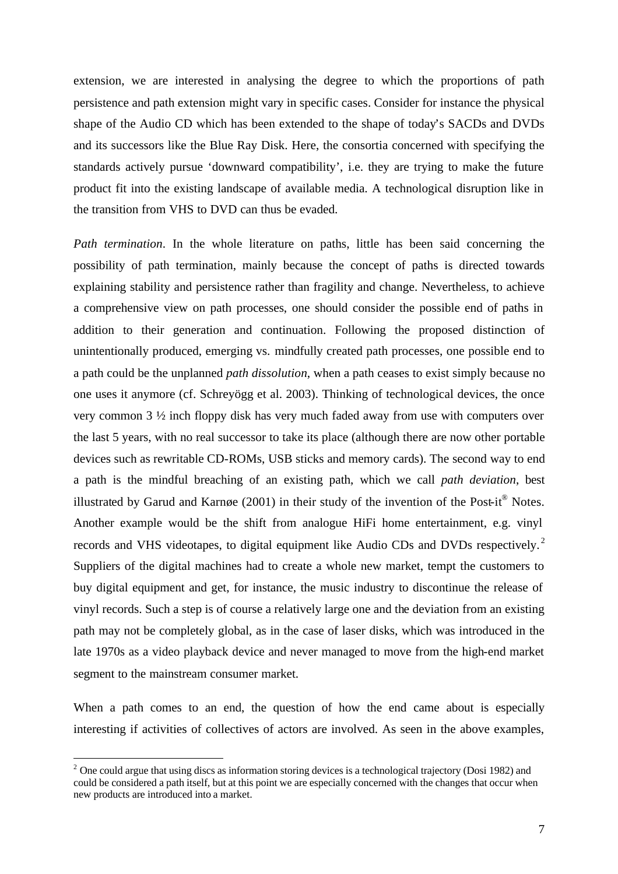extension, we are interested in analysing the degree to which the proportions of path persistence and path extension might vary in specific cases. Consider for instance the physical shape of the Audio CD which has been extended to the shape of today's SACDs and DVDs and its successors like the Blue Ray Disk. Here, the consortia concerned with specifying the standards actively pursue 'downward compatibility', i.e. they are trying to make the future product fit into the existing landscape of available media. A technological disruption like in the transition from VHS to DVD can thus be evaded.

*Path termination*. In the whole literature on paths, little has been said concerning the possibility of path termination, mainly because the concept of paths is directed towards explaining stability and persistence rather than fragility and change. Nevertheless, to achieve a comprehensive view on path processes, one should consider the possible end of paths in addition to their generation and continuation. Following the proposed distinction of unintentionally produced, emerging vs. mindfully created path processes, one possible end to a path could be the unplanned *path dissolution*, when a path ceases to exist simply because no one uses it anymore (cf. Schreyögg et al. 2003). Thinking of technological devices, the once very common 3 ½ inch floppy disk has very much faded away from use with computers over the last 5 years, with no real successor to take its place (although there are now other portable devices such as rewritable CD-ROMs, USB sticks and memory cards). The second way to end a path is the mindful breaching of an existing path, which we call *path deviation*, best illustrated by Garud and Karnøe (2001) in their study of the invention of the Post-it<sup>®</sup> Notes. Another example would be the shift from analogue HiFi home entertainment, e.g. vinyl records and VHS videotapes, to digital equipment like Audio CDs and DVDs respectively.<sup>2</sup> Suppliers of the digital machines had to create a whole new market, tempt the customers to buy digital equipment and get, for instance, the music industry to discontinue the release of vinyl records. Such a step is of course a relatively large one and the deviation from an existing path may not be completely global, as in the case of laser disks, which was introduced in the late 1970s as a video playback device and never managed to move from the high-end market segment to the mainstream consumer market.

When a path comes to an end, the question of how the end came about is especially interesting if activities of collectives of actors are involved. As seen in the above examples,

 $\overline{a}$ 

 $2$  One could argue that using discs as information storing devices is a technological trajectory (Dosi 1982) and could be considered a path itself, but at this point we are especially concerned with the changes that occur when new products are introduced into a market.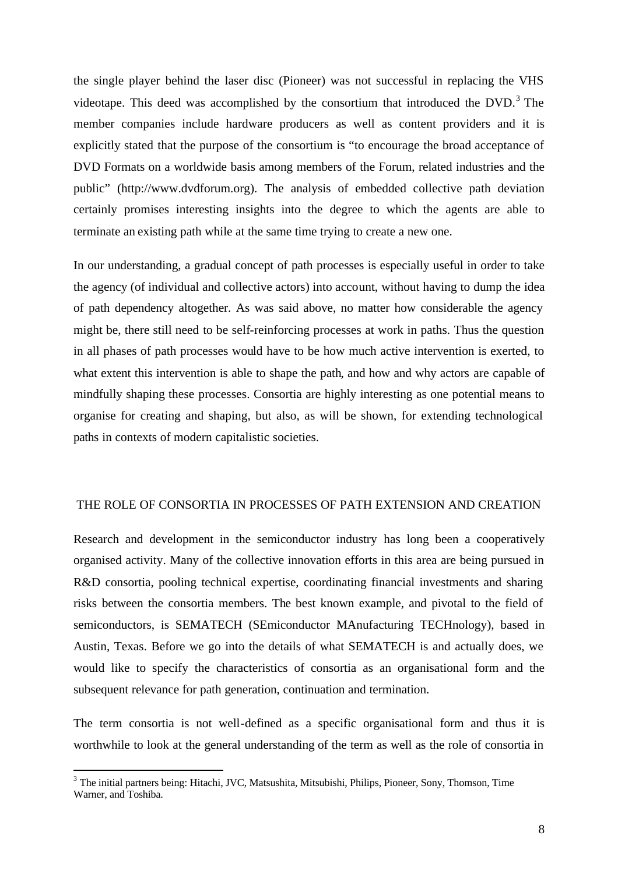the single player behind the laser disc (Pioneer) was not successful in replacing the VHS videotape. This deed was accomplished by the consortium that introduced the  $DVD$ .<sup>3</sup> The member companies include hardware producers as well as content providers and it is explicitly stated that the purpose of the consortium is "to encourage the broad acceptance of DVD Formats on a worldwide basis among members of the Forum, related industries and the public" (http://www.dvdforum.org). The analysis of embedded collective path deviation certainly promises interesting insights into the degree to which the agents are able to terminate an existing path while at the same time trying to create a new one.

In our understanding, a gradual concept of path processes is especially useful in order to take the agency (of individual and collective actors) into account, without having to dump the idea of path dependency altogether. As was said above, no matter how considerable the agency might be, there still need to be self-reinforcing processes at work in paths. Thus the question in all phases of path processes would have to be how much active intervention is exerted, to what extent this intervention is able to shape the path, and how and why actors are capable of mindfully shaping these processes. Consortia are highly interesting as one potential means to organise for creating and shaping, but also, as will be shown, for extending technological paths in contexts of modern capitalistic societies.

# THE ROLE OF CONSORTIA IN PROCESSES OF PATH EXTENSION AND CREATION

Research and development in the semiconductor industry has long been a cooperatively organised activity. Many of the collective innovation efforts in this area are being pursued in R&D consortia, pooling technical expertise, coordinating financial investments and sharing risks between the consortia members. The best known example, and pivotal to the field of semiconductors, is SEMATECH (SEmiconductor MAnufacturing TECHnology), based in Austin, Texas. Before we go into the details of what SEMATECH is and actually does, we would like to specify the characteristics of consortia as an organisational form and the subsequent relevance for path generation, continuation and termination.

The term consortia is not well-defined as a specific organisational form and thus it is worthwhile to look at the general understanding of the term as well as the role of consortia in

l

<sup>&</sup>lt;sup>3</sup> The initial partners being: Hitachi, JVC, Matsushita, Mitsubishi, Philips, Pioneer, Sony, Thomson, Time Warner, and Toshiba.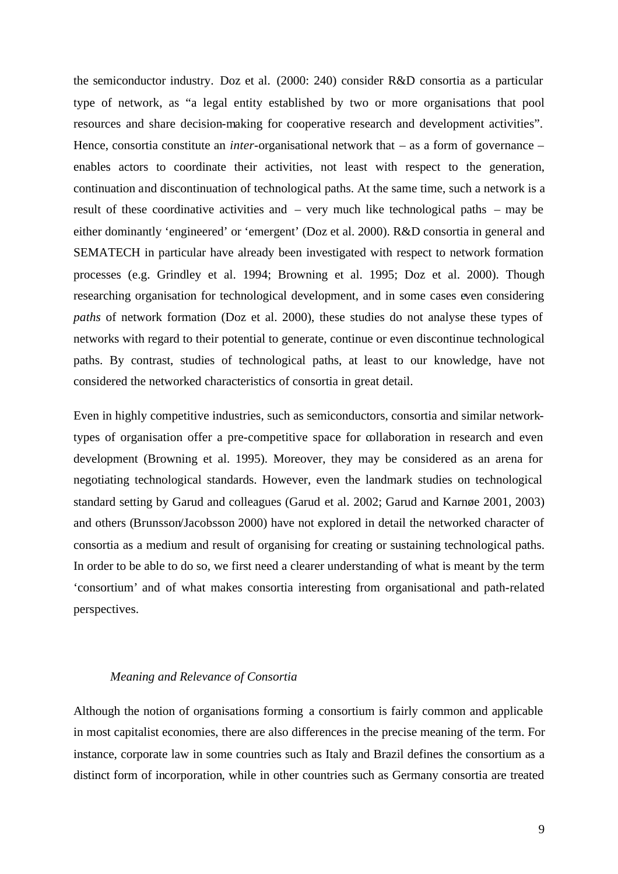the semiconductor industry. Doz et al. (2000: 240) consider R&D consortia as a particular type of network, as "a legal entity established by two or more organisations that pool resources and share decision-making for cooperative research and development activities". Hence, consortia constitute an *inter*-organisational network that – as a form of governance – enables actors to coordinate their activities, not least with respect to the generation, continuation and discontinuation of technological paths. At the same time, such a network is a result of these coordinative activities and – very much like technological paths – may be either dominantly 'engineered' or 'emergent' (Doz et al. 2000). R&D consortia in general and SEMATECH in particular have already been investigated with respect to network formation processes (e.g. Grindley et al. 1994; Browning et al. 1995; Doz et al. 2000). Though researching organisation for technological development, and in some cases even considering *paths* of network formation (Doz et al. 2000), these studies do not analyse these types of networks with regard to their potential to generate, continue or even discontinue technological paths. By contrast, studies of technological paths, at least to our knowledge, have not considered the networked characteristics of consortia in great detail.

Even in highly competitive industries, such as semiconductors, consortia and similar networktypes of organisation offer a pre-competitive space for collaboration in research and even development (Browning et al. 1995). Moreover, they may be considered as an arena for negotiating technological standards. However, even the landmark studies on technological standard setting by Garud and colleagues (Garud et al. 2002; Garud and Karnøe 2001, 2003) and others (Brunsson/Jacobsson 2000) have not explored in detail the networked character of consortia as a medium and result of organising for creating or sustaining technological paths. In order to be able to do so, we first need a clearer understanding of what is meant by the term 'consortium' and of what makes consortia interesting from organisational and path-related perspectives.

#### *Meaning and Relevance of Consortia*

Although the notion of organisations forming a consortium is fairly common and applicable in most capitalist economies, there are also differences in the precise meaning of the term. For instance, corporate law in some countries such as Italy and Brazil defines the consortium as a distinct form of incorporation, while in other countries such as Germany consortia are treated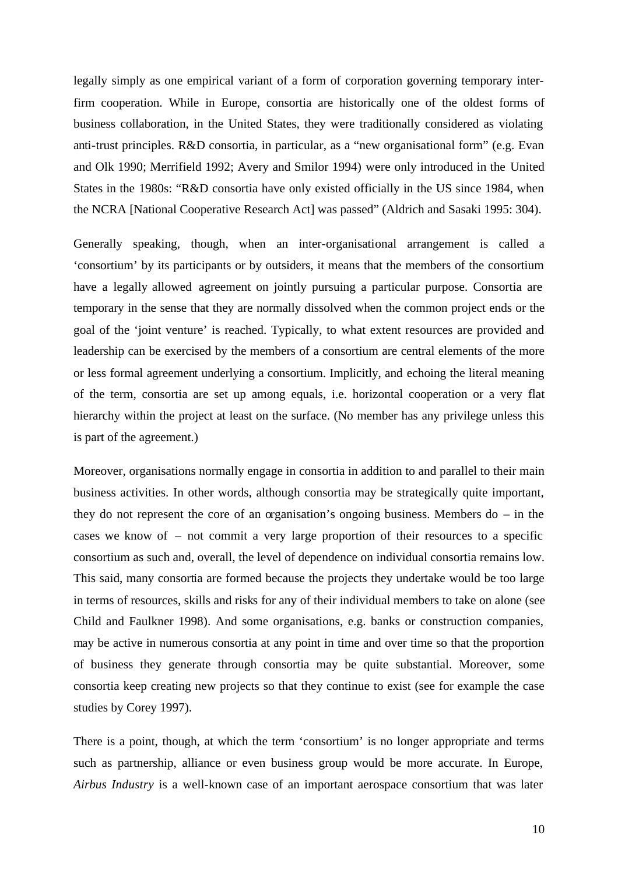legally simply as one empirical variant of a form of corporation governing temporary interfirm cooperation. While in Europe, consortia are historically one of the oldest forms of business collaboration, in the United States, they were traditionally considered as violating anti-trust principles. R&D consortia, in particular, as a "new organisational form" (e.g. Evan and Olk 1990; Merrifield 1992; Avery and Smilor 1994) were only introduced in the United States in the 1980s: "R&D consortia have only existed officially in the US since 1984, when the NCRA [National Cooperative Research Act] was passed" (Aldrich and Sasaki 1995: 304).

Generally speaking, though, when an inter-organisational arrangement is called a 'consortium' by its participants or by outsiders, it means that the members of the consortium have a legally allowed agreement on jointly pursuing a particular purpose. Consortia are temporary in the sense that they are normally dissolved when the common project ends or the goal of the 'joint venture' is reached. Typically, to what extent resources are provided and leadership can be exercised by the members of a consortium are central elements of the more or less formal agreement underlying a consortium. Implicitly, and echoing the literal meaning of the term, consortia are set up among equals, i.e. horizontal cooperation or a very flat hierarchy within the project at least on the surface. (No member has any privilege unless this is part of the agreement.)

Moreover, organisations normally engage in consortia in addition to and parallel to their main business activities. In other words, although consortia may be strategically quite important, they do not represent the core of an organisation's ongoing business. Members do – in the cases we know of – not commit a very large proportion of their resources to a specific consortium as such and, overall, the level of dependence on individual consortia remains low. This said, many consortia are formed because the projects they undertake would be too large in terms of resources, skills and risks for any of their individual members to take on alone (see Child and Faulkner 1998). And some organisations, e.g. banks or construction companies, may be active in numerous consortia at any point in time and over time so that the proportion of business they generate through consortia may be quite substantial. Moreover, some consortia keep creating new projects so that they continue to exist (see for example the case studies by Corey 1997).

There is a point, though, at which the term 'consortium' is no longer appropriate and terms such as partnership, alliance or even business group would be more accurate. In Europe, *Airbus Industry* is a well-known case of an important aerospace consortium that was later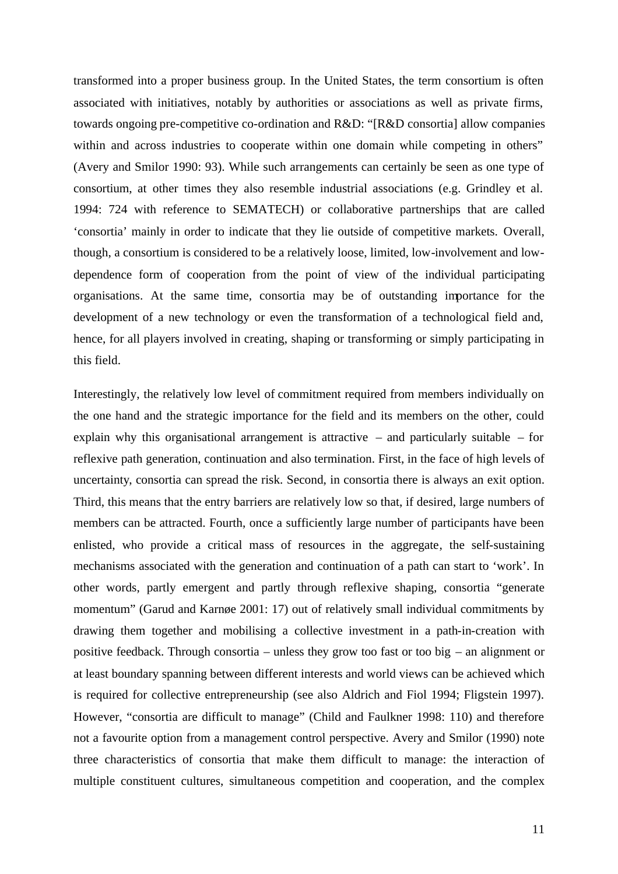transformed into a proper business group. In the United States, the term consortium is often associated with initiatives, notably by authorities or associations as well as private firms, towards ongoing pre-competitive co-ordination and R&D: "[R&D consortia] allow companies within and across industries to cooperate within one domain while competing in others" (Avery and Smilor 1990: 93). While such arrangements can certainly be seen as one type of consortium, at other times they also resemble industrial associations (e.g. Grindley et al. 1994: 724 with reference to SEMATECH) or collaborative partnerships that are called 'consortia' mainly in order to indicate that they lie outside of competitive markets. Overall, though, a consortium is considered to be a relatively loose, limited, low-involvement and lowdependence form of cooperation from the point of view of the individual participating organisations. At the same time, consortia may be of outstanding importance for the development of a new technology or even the transformation of a technological field and, hence, for all players involved in creating, shaping or transforming or simply participating in this field.

Interestingly, the relatively low level of commitment required from members individually on the one hand and the strategic importance for the field and its members on the other, could explain why this organisational arrangement is attractive – and particularly suitable – for reflexive path generation, continuation and also termination. First, in the face of high levels of uncertainty, consortia can spread the risk. Second, in consortia there is always an exit option. Third, this means that the entry barriers are relatively low so that, if desired, large numbers of members can be attracted. Fourth, once a sufficiently large number of participants have been enlisted, who provide a critical mass of resources in the aggregate, the self-sustaining mechanisms associated with the generation and continuation of a path can start to 'work'. In other words, partly emergent and partly through reflexive shaping, consortia "generate momentum" (Garud and Karnøe 2001: 17) out of relatively small individual commitments by drawing them together and mobilising a collective investment in a path-in-creation with positive feedback. Through consortia – unless they grow too fast or too big – an alignment or at least boundary spanning between different interests and world views can be achieved which is required for collective entrepreneurship (see also Aldrich and Fiol 1994; Fligstein 1997). However, "consortia are difficult to manage" (Child and Faulkner 1998: 110) and therefore not a favourite option from a management control perspective. Avery and Smilor (1990) note three characteristics of consortia that make them difficult to manage: the interaction of multiple constituent cultures, simultaneous competition and cooperation, and the complex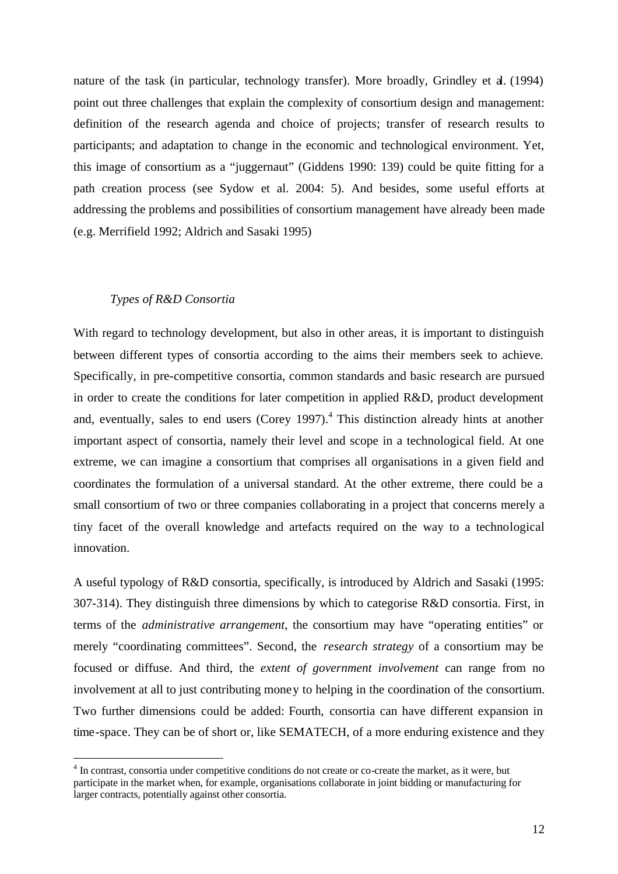nature of the task (in particular, technology transfer). More broadly, Grindley et al. (1994) point out three challenges that explain the complexity of consortium design and management: definition of the research agenda and choice of projects; transfer of research results to participants; and adaptation to change in the economic and technological environment. Yet, this image of consortium as a "juggernaut" (Giddens 1990: 139) could be quite fitting for a path creation process (see Sydow et al. 2004: 5). And besides, some useful efforts at addressing the problems and possibilities of consortium management have already been made (e.g. Merrifield 1992; Aldrich and Sasaki 1995)

#### *Types of R&D Consortia*

 $\overline{a}$ 

With regard to technology development, but also in other areas, it is important to distinguish between different types of consortia according to the aims their members seek to achieve. Specifically, in pre-competitive consortia, common standards and basic research are pursued in order to create the conditions for later competition in applied R&D, product development and, eventually, sales to end users (Corey 1997).<sup>4</sup> This distinction already hints at another important aspect of consortia, namely their level and scope in a technological field. At one extreme, we can imagine a consortium that comprises all organisations in a given field and coordinates the formulation of a universal standard. At the other extreme, there could be a small consortium of two or three companies collaborating in a project that concerns merely a tiny facet of the overall knowledge and artefacts required on the way to a technological innovation.

A useful typology of R&D consortia, specifically, is introduced by Aldrich and Sasaki (1995: 307-314). They distinguish three dimensions by which to categorise R&D consortia. First, in terms of the *administrative arrangement*, the consortium may have "operating entities" or merely "coordinating committees". Second, the *research strategy* of a consortium may be focused or diffuse. And third, the *extent of government involvement* can range from no involvement at all to just contributing money to helping in the coordination of the consortium. Two further dimensions could be added: Fourth, consortia can have different expansion in time-space. They can be of short or, like SEMATECH, of a more enduring existence and they

<sup>&</sup>lt;sup>4</sup> In contrast, consortia under competitive conditions do not create or co-create the market, as it were, but participate in the market when, for example, organisations collaborate in joint bidding or manufacturing for larger contracts, potentially against other consortia.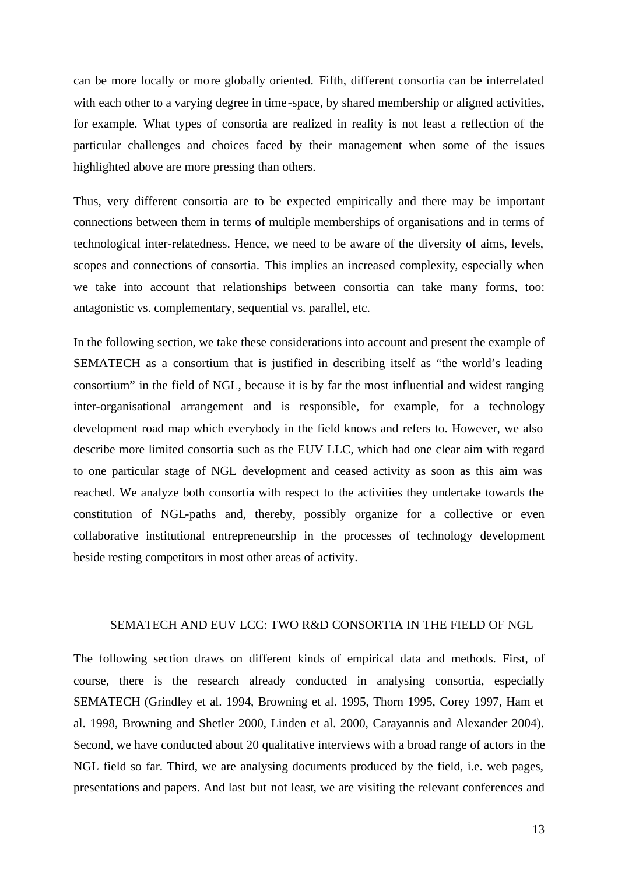can be more locally or more globally oriented. Fifth, different consortia can be interrelated with each other to a varying degree in time-space, by shared membership or aligned activities, for example. What types of consortia are realized in reality is not least a reflection of the particular challenges and choices faced by their management when some of the issues highlighted above are more pressing than others.

Thus, very different consortia are to be expected empirically and there may be important connections between them in terms of multiple memberships of organisations and in terms of technological inter-relatedness. Hence, we need to be aware of the diversity of aims, levels, scopes and connections of consortia. This implies an increased complexity, especially when we take into account that relationships between consortia can take many forms, too: antagonistic vs. complementary, sequential vs. parallel, etc.

In the following section, we take these considerations into account and present the example of SEMATECH as a consortium that is justified in describing itself as "the world's leading consortium" in the field of NGL, because it is by far the most influential and widest ranging inter-organisational arrangement and is responsible, for example, for a technology development road map which everybody in the field knows and refers to. However, we also describe more limited consortia such as the EUV LLC, which had one clear aim with regard to one particular stage of NGL development and ceased activity as soon as this aim was reached. We analyze both consortia with respect to the activities they undertake towards the constitution of NGL-paths and, thereby, possibly organize for a collective or even collaborative institutional entrepreneurship in the processes of technology development beside resting competitors in most other areas of activity.

#### SEMATECH AND EUV LCC: TWO R&D CONSORTIA IN THE FIELD OF NGL

The following section draws on different kinds of empirical data and methods. First, of course, there is the research already conducted in analysing consortia, especially SEMATECH (Grindley et al. 1994, Browning et al. 1995, Thorn 1995, Corey 1997, Ham et al. 1998, Browning and Shetler 2000, Linden et al. 2000, Carayannis and Alexander 2004). Second, we have conducted about 20 qualitative interviews with a broad range of actors in the NGL field so far. Third, we are analysing documents produced by the field, i.e. web pages, presentations and papers. And last but not least, we are visiting the relevant conferences and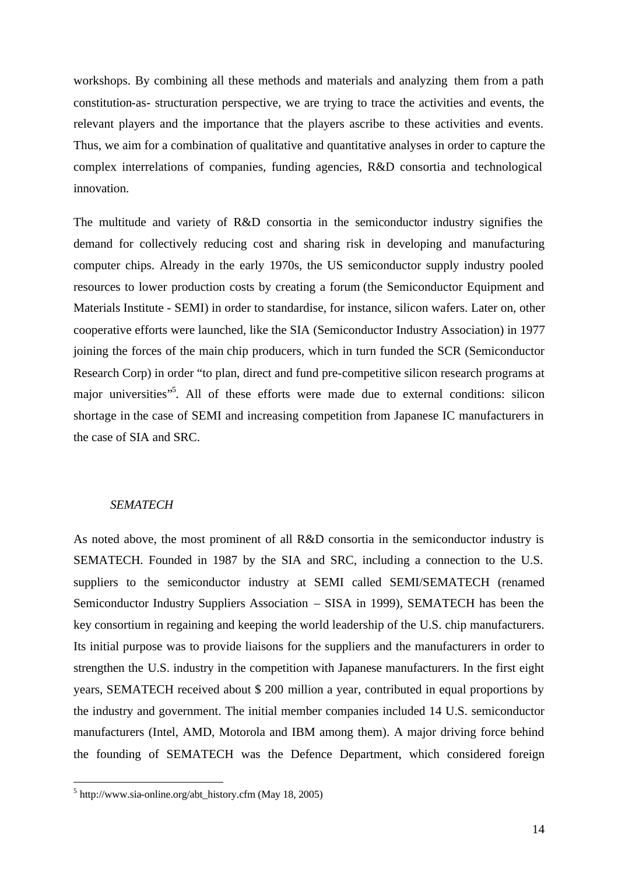workshops. By combining all these methods and materials and analyzing them from a path constitution-as- structuration perspective, we are trying to trace the activities and events, the relevant players and the importance that the players ascribe to these activities and events. Thus, we aim for a combination of qualitative and quantitative analyses in order to capture the complex interrelations of companies, funding agencies, R&D consortia and technological innovation.

The multitude and variety of R&D consortia in the semiconductor industry signifies the demand for collectively reducing cost and sharing risk in developing and manufacturing computer chips. Already in the early 1970s, the US semiconductor supply industry pooled resources to lower production costs by creating a forum (the Semiconductor Equipment and Materials Institute - SEMI) in order to standardise, for instance, silicon wafers. Later on, other cooperative efforts were launched, like the SIA (Semiconductor Industry Association) in 1977 joining the forces of the main chip producers, which in turn funded the SCR (Semiconductor Research Corp) in order "to plan, direct and fund pre-competitive silicon research programs at major universities"<sup>5</sup>. All of these efforts were made due to external conditions: silicon shortage in the case of SEMI and increasing competition from Japanese IC manufacturers in the case of SIA and SRC.

### *SEMATECH*

 $\overline{a}$ 

As noted above, the most prominent of all R&D consortia in the semiconductor industry is SEMATECH. Founded in 1987 by the SIA and SRC, including a connection to the U.S. suppliers to the semiconductor industry at SEMI called SEMI/SEMATECH (renamed Semiconductor Industry Suppliers Association – SISA in 1999), SEMATECH has been the key consortium in regaining and keeping the world leadership of the U.S. chip manufacturers. Its initial purpose was to provide liaisons for the suppliers and the manufacturers in order to strengthen the U.S. industry in the competition with Japanese manufacturers. In the first eight years, SEMATECH received about \$ 200 million a year, contributed in equal proportions by the industry and government. The initial member companies included 14 U.S. semiconductor manufacturers (Intel, AMD, Motorola and IBM among them). A major driving force behind the founding of SEMATECH was the Defence Department, which considered foreign

<sup>5</sup> http://www.sia-online.org/abt\_history.cfm (May 18, 2005)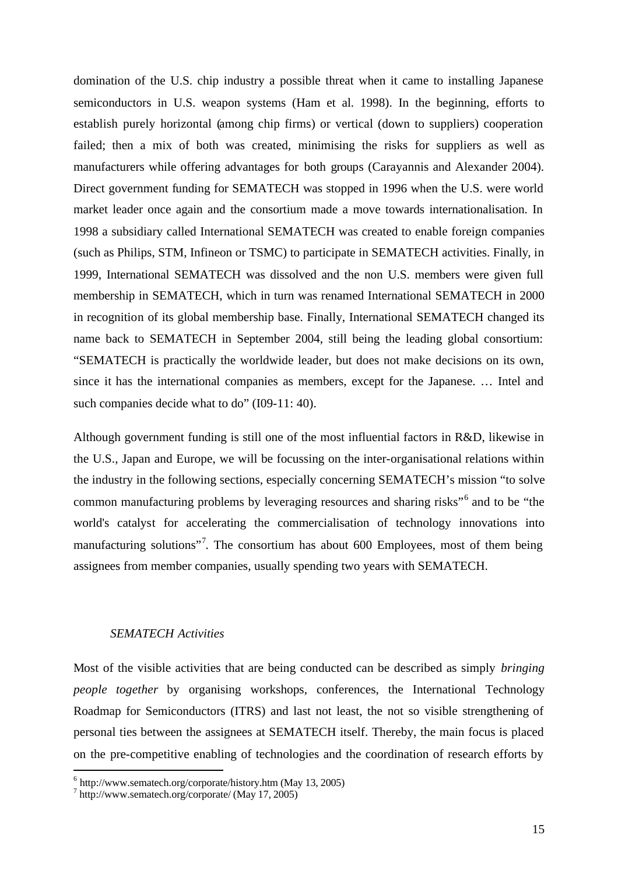domination of the U.S. chip industry a possible threat when it came to installing Japanese semiconductors in U.S. weapon systems (Ham et al. 1998). In the beginning, efforts to establish purely horizontal (among chip firms) or vertical (down to suppliers) cooperation failed; then a mix of both was created, minimising the risks for suppliers as well as manufacturers while offering advantages for both groups (Carayannis and Alexander 2004). Direct government funding for SEMATECH was stopped in 1996 when the U.S. were world market leader once again and the consortium made a move towards internationalisation. In 1998 a subsidiary called International SEMATECH was created to enable foreign companies (such as Philips, STM, Infineon or TSMC) to participate in SEMATECH activities. Finally, in 1999, International SEMATECH was dissolved and the non U.S. members were given full membership in SEMATECH, which in turn was renamed International SEMATECH in 2000 in recognition of its global membership base. Finally, International SEMATECH changed its name back to SEMATECH in September 2004, still being the leading global consortium: "SEMATECH is practically the worldwide leader, but does not make decisions on its own, since it has the international companies as members, except for the Japanese. … Intel and such companies decide what to do" (I09-11: 40).

Although government funding is still one of the most influential factors in R&D, likewise in the U.S., Japan and Europe, we will be focussing on the inter-organisational relations within the industry in the following sections, especially concerning SEMATECH's mission "to solve common manufacturing problems by leveraging resources and sharing risks"<sup>6</sup> and to be "the world's catalyst for accelerating the commercialisation of technology innovations into manufacturing solutions"<sup>7</sup>. The consortium has about 600 Employees, most of them being assignees from member companies, usually spending two years with SEMATECH.

#### *SEMATECH Activities*

Most of the visible activities that are being conducted can be described as simply *bringing people together* by organising workshops, conferences, the International Technology Roadmap for Semiconductors (ITRS) and last not least, the not so visible strengthening of personal ties between the assignees at SEMATECH itself. Thereby, the main focus is placed on the pre-competitive enabling of technologies and the coordination of research efforts by

l

<sup>6</sup> http://www.sematech.org/corporate/history.htm (May 13, 2005)

<sup>7</sup> http://www.sematech.org/corporate/ (May 17, 2005)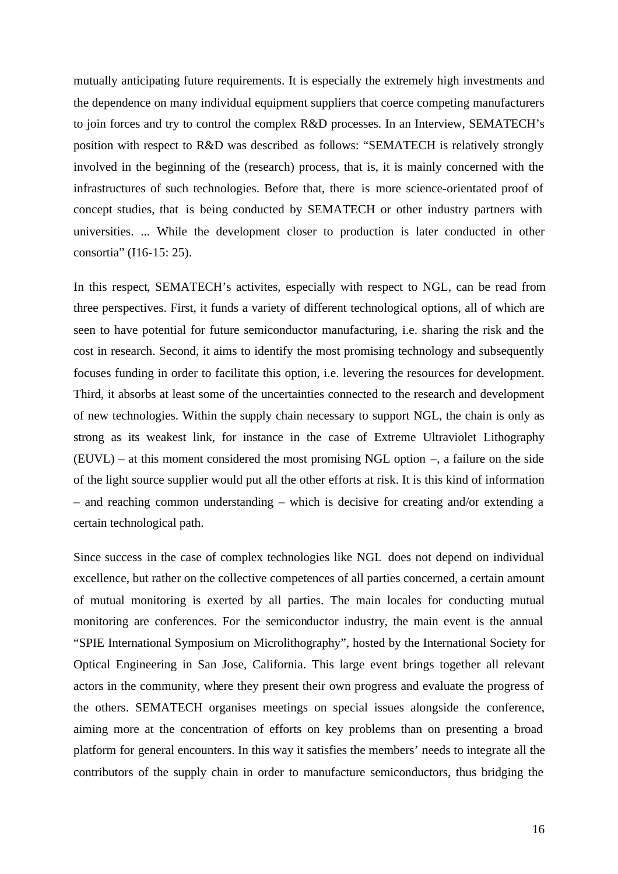mutually anticipating future requirements. It is especially the extremely high investments and the dependence on many individual equipment suppliers that coerce competing manufacturers to join forces and try to control the complex R&D processes. In an Interview, SEMATECH's position with respect to R&D was described as follows: "SEMATECH is relatively strongly involved in the beginning of the (research) process, that is, it is mainly concerned with the infrastructures of such technologies. Before that, there is more science-orientated proof of concept studies, that is being conducted by SEMATECH or other industry partners with universities. ... While the development closer to production is later conducted in other consortia" (I16-15: 25).

In this respect, SEMATECH's activites, especially with respect to NGL, can be read from three perspectives. First, it funds a variety of different technological options, all of which are seen to have potential for future semiconductor manufacturing, i.e. sharing the risk and the cost in research. Second, it aims to identify the most promising technology and subsequently focuses funding in order to facilitate this option, i.e. levering the resources for development. Third, it absorbs at least some of the uncertainties connected to the research and development of new technologies. Within the supply chain necessary to support NGL, the chain is only as strong as its weakest link, for instance in the case of Extreme Ultraviolet Lithography (EUVL) – at this moment considered the most promising NGL option –, a failure on the side of the light source supplier would put all the other efforts at risk. It is this kind of information – and reaching common understanding – which is decisive for creating and/or extending a certain technological path.

Since success in the case of complex technologies like NGL does not depend on individual excellence, but rather on the collective competences of all parties concerned, a certain amount of mutual monitoring is exerted by all parties. The main locales for conducting mutual monitoring are conferences. For the semiconductor industry, the main event is the annual "SPIE International Symposium on Microlithography", hosted by the International Society for Optical Engineering in San Jose, California. This large event brings together all relevant actors in the community, where they present their own progress and evaluate the progress of the others. SEMATECH organises meetings on special issues alongside the conference, aiming more at the concentration of efforts on key problems than on presenting a broad platform for general encounters. In this way it satisfies the members' needs to integrate all the contributors of the supply chain in order to manufacture semiconductors, thus bridging the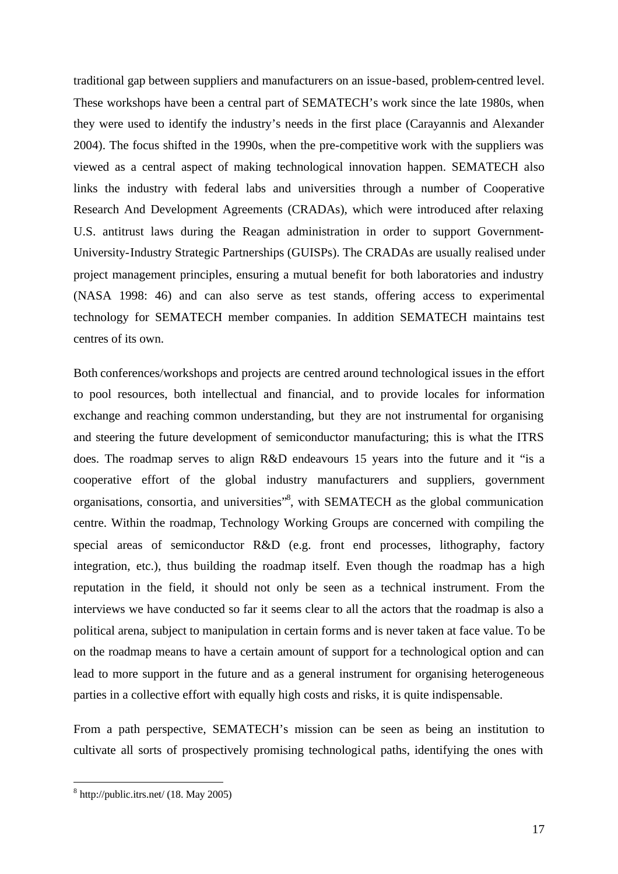traditional gap between suppliers and manufacturers on an issue-based, problem-centred level. These workshops have been a central part of SEMATECH's work since the late 1980s, when they were used to identify the industry's needs in the first place (Carayannis and Alexander 2004). The focus shifted in the 1990s, when the pre-competitive work with the suppliers was viewed as a central aspect of making technological innovation happen. SEMATECH also links the industry with federal labs and universities through a number of Cooperative Research And Development Agreements (CRADAs), which were introduced after relaxing U.S. antitrust laws during the Reagan administration in order to support Government-University-Industry Strategic Partnerships (GUISPs). The CRADAs are usually realised under project management principles, ensuring a mutual benefit for both laboratories and industry (NASA 1998: 46) and can also serve as test stands, offering access to experimental technology for SEMATECH member companies. In addition SEMATECH maintains test centres of its own.

Both conferences/workshops and projects are centred around technological issues in the effort to pool resources, both intellectual and financial, and to provide locales for information exchange and reaching common understanding, but they are not instrumental for organising and steering the future development of semiconductor manufacturing; this is what the ITRS does. The roadmap serves to align R&D endeavours 15 years into the future and it "is a cooperative effort of the global industry manufacturers and suppliers, government organisations, consortia, and universities"<sup>8</sup>, with SEMATECH as the global communication centre. Within the roadmap, Technology Working Groups are concerned with compiling the special areas of semiconductor R&D (e.g. front end processes, lithography, factory integration, etc.), thus building the roadmap itself. Even though the roadmap has a high reputation in the field, it should not only be seen as a technical instrument. From the interviews we have conducted so far it seems clear to all the actors that the roadmap is also a political arena, subject to manipulation in certain forms and is never taken at face value. To be on the roadmap means to have a certain amount of support for a technological option and can lead to more support in the future and as a general instrument for organising heterogeneous parties in a collective effort with equally high costs and risks, it is quite indispensable.

From a path perspective, SEMATECH's mission can be seen as being an institution to cultivate all sorts of prospectively promising technological paths, identifying the ones with

 $\overline{a}$ 

 $8$  http://public.itrs.net/ (18. May 2005)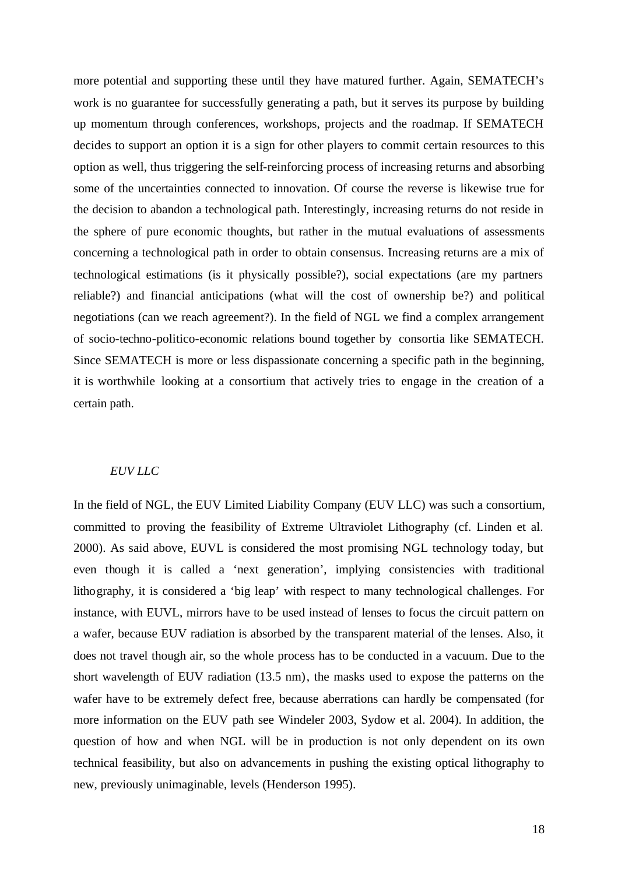more potential and supporting these until they have matured further. Again, SEMATECH's work is no guarantee for successfully generating a path, but it serves its purpose by building up momentum through conferences, workshops, projects and the roadmap. If SEMATECH decides to support an option it is a sign for other players to commit certain resources to this option as well, thus triggering the self-reinforcing process of increasing returns and absorbing some of the uncertainties connected to innovation. Of course the reverse is likewise true for the decision to abandon a technological path. Interestingly, increasing returns do not reside in the sphere of pure economic thoughts, but rather in the mutual evaluations of assessments concerning a technological path in order to obtain consensus. Increasing returns are a mix of technological estimations (is it physically possible?), social expectations (are my partners reliable?) and financial anticipations (what will the cost of ownership be?) and political negotiations (can we reach agreement?). In the field of NGL we find a complex arrangement of socio-techno-politico-economic relations bound together by consortia like SEMATECH. Since SEMATECH is more or less dispassionate concerning a specific path in the beginning, it is worthwhile looking at a consortium that actively tries to engage in the creation of a certain path.

#### *EUV LLC*

In the field of NGL, the EUV Limited Liability Company (EUV LLC) was such a consortium, committed to proving the feasibility of Extreme Ultraviolet Lithography (cf. Linden et al. 2000). As said above, EUVL is considered the most promising NGL technology today, but even though it is called a 'next generation', implying consistencies with traditional lithography, it is considered a 'big leap' with respect to many technological challenges. For instance, with EUVL, mirrors have to be used instead of lenses to focus the circuit pattern on a wafer, because EUV radiation is absorbed by the transparent material of the lenses. Also, it does not travel though air, so the whole process has to be conducted in a vacuum. Due to the short wavelength of EUV radiation (13.5 nm), the masks used to expose the patterns on the wafer have to be extremely defect free, because aberrations can hardly be compensated (for more information on the EUV path see Windeler 2003, Sydow et al. 2004). In addition, the question of how and when NGL will be in production is not only dependent on its own technical feasibility, but also on advancements in pushing the existing optical lithography to new, previously unimaginable, levels (Henderson 1995).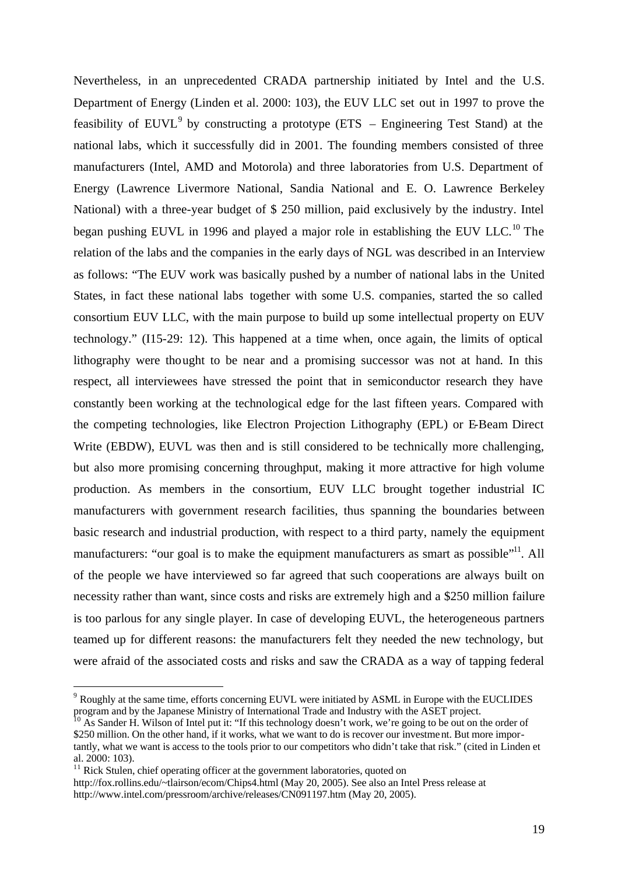Nevertheless, in an unprecedented CRADA partnership initiated by Intel and the U.S. Department of Energy (Linden et al. 2000: 103), the EUV LLC set out in 1997 to prove the feasibility of  $EUVL<sup>9</sup>$  by constructing a prototype (ETS – Engineering Test Stand) at the national labs, which it successfully did in 2001. The founding members consisted of three manufacturers (Intel, AMD and Motorola) and three laboratories from U.S. Department of Energy (Lawrence Livermore National, Sandia National and E. O. Lawrence Berkeley National) with a three-year budget of \$ 250 million, paid exclusively by the industry. Intel began pushing EUVL in 1996 and played a major role in establishing the EUV LLC.<sup>10</sup> The relation of the labs and the companies in the early days of NGL was described in an Interview as follows: "The EUV work was basically pushed by a number of national labs in the United States, in fact these national labs together with some U.S. companies, started the so called consortium EUV LLC, with the main purpose to build up some intellectual property on EUV technology." (I15-29: 12). This happened at a time when, once again, the limits of optical lithography were thought to be near and a promising successor was not at hand. In this respect, all interviewees have stressed the point that in semiconductor research they have constantly been working at the technological edge for the last fifteen years. Compared with the competing technologies, like Electron Projection Lithography (EPL) or E-Beam Direct Write (EBDW), EUVL was then and is still considered to be technically more challenging, but also more promising concerning throughput, making it more attractive for high volume production. As members in the consortium, EUV LLC brought together industrial IC manufacturers with government research facilities, thus spanning the boundaries between basic research and industrial production, with respect to a third party, namely the equipment manufacturers: "our goal is to make the equipment manufacturers as smart as possible"<sup>11</sup>. All of the people we have interviewed so far agreed that such cooperations are always built on necessity rather than want, since costs and risks are extremely high and a \$250 million failure is too parlous for any single player. In case of developing EUVL, the heterogeneous partners teamed up for different reasons: the manufacturers felt they needed the new technology, but were afraid of the associated costs and risks and saw the CRADA as a way of tapping federal

 $\overline{a}$ 

<sup>&</sup>lt;sup>9</sup> Roughly at the same time, efforts concerning EUVL were initiated by ASML in Europe with the EUCLIDES program and by the Japanese Ministry of International Trade and Industry with the ASET project.

<sup>&</sup>lt;sup>10</sup> As Sander H. Wilson of Intel put it: "If this technology doesn't work, we're going to be out on the order of \$250 million. On the other hand, if it works, what we want to do is recover our investment. But more importantly, what we want is access to the tools prior to our competitors who didn't take that risk." (cited in Linden et al. 2000: 103).

 $11$  Rick Stulen, chief operating officer at the government laboratories, quoted on

http://fox.rollins.edu/~tlairson/ecom/Chips4.html (May 20, 2005). See also an Intel Press release at http://www.intel.com/pressroom/archive/releases/CN091197.htm (May 20, 2005).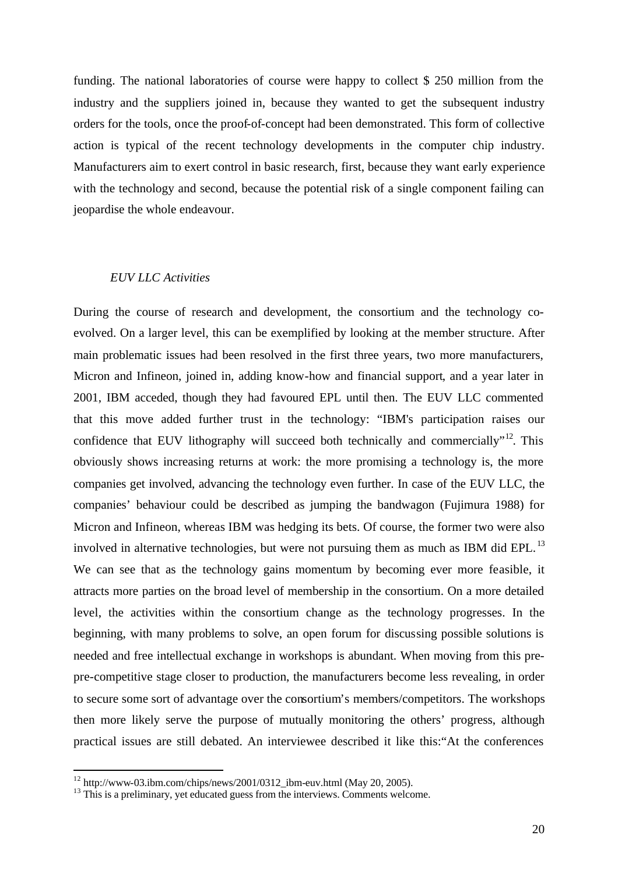funding. The national laboratories of course were happy to collect \$ 250 million from the industry and the suppliers joined in, because they wanted to get the subsequent industry orders for the tools, once the proof-of-concept had been demonstrated. This form of collective action is typical of the recent technology developments in the computer chip industry. Manufacturers aim to exert control in basic research, first, because they want early experience with the technology and second, because the potential risk of a single component failing can jeopardise the whole endeavour.

#### *EUV LLC Activities*

During the course of research and development, the consortium and the technology coevolved. On a larger level, this can be exemplified by looking at the member structure. After main problematic issues had been resolved in the first three years, two more manufacturers, Micron and Infineon, joined in, adding know-how and financial support, and a year later in 2001, IBM acceded, though they had favoured EPL until then. The EUV LLC commented that this move added further trust in the technology: "IBM's participation raises our confidence that EUV lithography will succeed both technically and commercially"<sup>12</sup>. This obviously shows increasing returns at work: the more promising a technology is, the more companies get involved, advancing the technology even further. In case of the EUV LLC, the companies' behaviour could be described as jumping the bandwagon (Fujimura 1988) for Micron and Infineon, whereas IBM was hedging its bets. Of course, the former two were also involved in alternative technologies, but were not pursuing them as much as IBM did EPL.<sup>13</sup> We can see that as the technology gains momentum by becoming ever more feasible, it attracts more parties on the broad level of membership in the consortium. On a more detailed level, the activities within the consortium change as the technology progresses. In the beginning, with many problems to solve, an open forum for discussing possible solutions is needed and free intellectual exchange in workshops is abundant. When moving from this prepre-competitive stage closer to production, the manufacturers become less revealing, in order to secure some sort of advantage over the consortium's members/competitors. The workshops then more likely serve the purpose of mutually monitoring the others' progress, although practical issues are still debated. An interviewee described it like this:"At the conferences

l

<sup>12</sup> http://www-03.ibm.com/chips/news/2001/0312\_ibm-euv.html (May 20, 2005).

<sup>&</sup>lt;sup>13</sup> This is a preliminary, yet educated guess from the interviews. Comments welcome.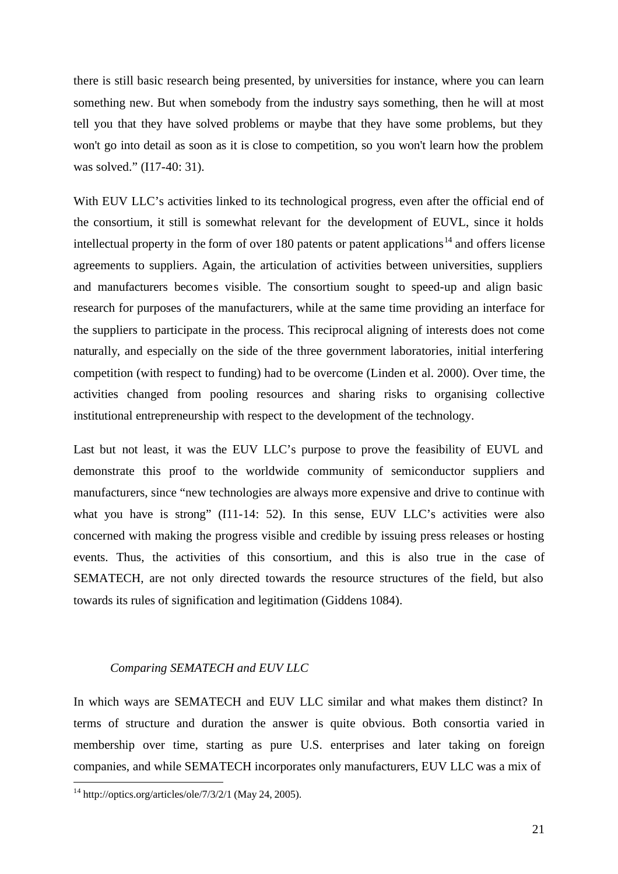there is still basic research being presented, by universities for instance, where you can learn something new. But when somebody from the industry says something, then he will at most tell you that they have solved problems or maybe that they have some problems, but they won't go into detail as soon as it is close to competition, so you won't learn how the problem was solved." (I17-40: 31).

With EUV LLC's activities linked to its technological progress, even after the official end of the consortium, it still is somewhat relevant for the development of EUVL, since it holds intellectual property in the form of over 180 patents or patent applications<sup>14</sup> and offers license agreements to suppliers. Again, the articulation of activities between universities, suppliers and manufacturers becomes visible. The consortium sought to speed-up and align basic research for purposes of the manufacturers, while at the same time providing an interface for the suppliers to participate in the process. This reciprocal aligning of interests does not come naturally, and especially on the side of the three government laboratories, initial interfering competition (with respect to funding) had to be overcome (Linden et al. 2000). Over time, the activities changed from pooling resources and sharing risks to organising collective institutional entrepreneurship with respect to the development of the technology.

Last but not least, it was the EUV LLC's purpose to prove the feasibility of EUVL and demonstrate this proof to the worldwide community of semiconductor suppliers and manufacturers, since "new technologies are always more expensive and drive to continue with what you have is strong" (I11-14: 52). In this sense, EUV LLC's activities were also concerned with making the progress visible and credible by issuing press releases or hosting events. Thus, the activities of this consortium, and this is also true in the case of SEMATECH, are not only directed towards the resource structures of the field, but also towards its rules of signification and legitimation (Giddens 1084).

#### *Comparing SEMATECH and EUV LLC*

In which ways are SEMATECH and EUV LLC similar and what makes them distinct? In terms of structure and duration the answer is quite obvious. Both consortia varied in membership over time, starting as pure U.S. enterprises and later taking on foreign companies, and while SEMATECH incorporates only manufacturers, EUV LLC was a mix of

 $\overline{a}$ 

 $14 \text{ http://optics.org/articles/ole/7/3/2/1 (May 24, 2005).}$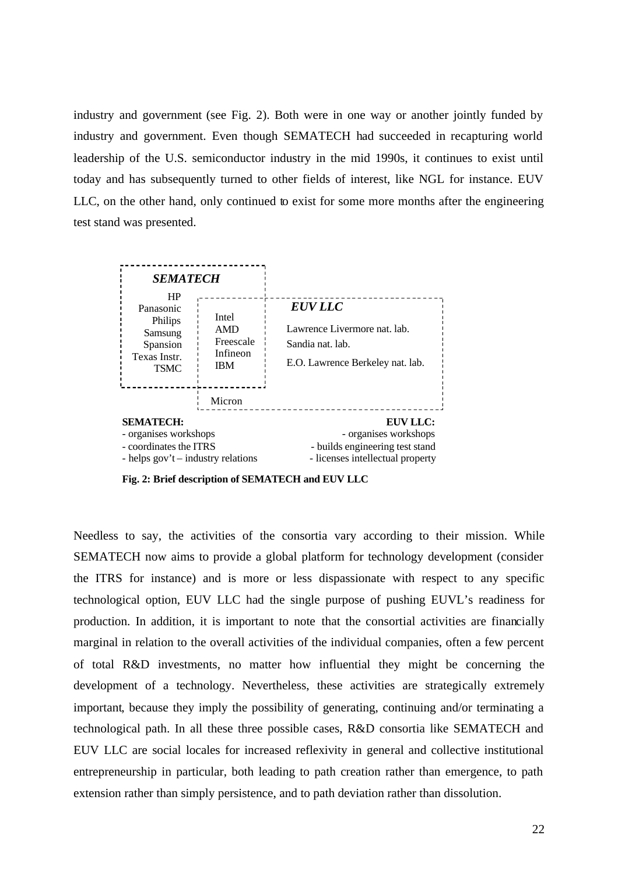industry and government (see Fig. 2). Both were in one way or another jointly funded by industry and government. Even though SEMATECH had succeeded in recapturing world leadership of the U.S. semiconductor industry in the mid 1990s, it continues to exist until today and has subsequently turned to other fields of interest, like NGL for instance. EUV LLC, on the other hand, only continued to exist for some more months after the engineering test stand was presented.



**Fig. 2: Brief description of SEMATECH and EUV LLC**

Needless to say, the activities of the consortia vary according to their mission. While SEMATECH now aims to provide a global platform for technology development (consider the ITRS for instance) and is more or less dispassionate with respect to any specific technological option, EUV LLC had the single purpose of pushing EUVL's readiness for production. In addition, it is important to note that the consortial activities are financially marginal in relation to the overall activities of the individual companies, often a few percent of total R&D investments, no matter how influential they might be concerning the development of a technology. Nevertheless, these activities are strategically extremely important, because they imply the possibility of generating, continuing and/or terminating a technological path. In all these three possible cases, R&D consortia like SEMATECH and EUV LLC are social locales for increased reflexivity in general and collective institutional entrepreneurship in particular, both leading to path creation rather than emergence, to path extension rather than simply persistence, and to path deviation rather than dissolution.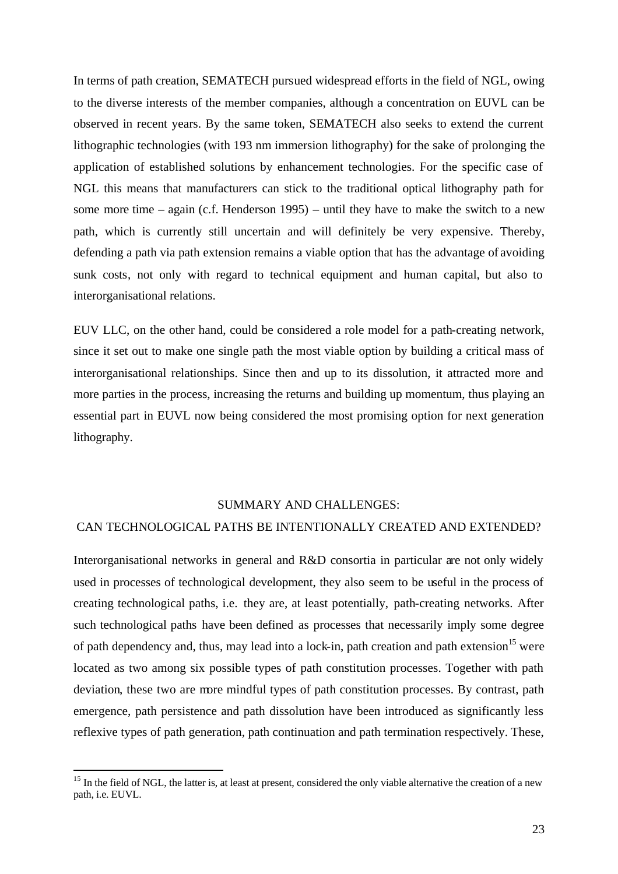In terms of path creation, SEMATECH pursued widespread efforts in the field of NGL, owing to the diverse interests of the member companies, although a concentration on EUVL can be observed in recent years. By the same token, SEMATECH also seeks to extend the current lithographic technologies (with 193 nm immersion lithography) for the sake of prolonging the application of established solutions by enhancement technologies. For the specific case of NGL this means that manufacturers can stick to the traditional optical lithography path for some more time – again (c.f. Henderson 1995) – until they have to make the switch to a new path, which is currently still uncertain and will definitely be very expensive. Thereby, defending a path via path extension remains a viable option that has the advantage of avoiding sunk costs, not only with regard to technical equipment and human capital, but also to interorganisational relations.

EUV LLC, on the other hand, could be considered a role model for a path-creating network, since it set out to make one single path the most viable option by building a critical mass of interorganisational relationships. Since then and up to its dissolution, it attracted more and more parties in the process, increasing the returns and building up momentum, thus playing an essential part in EUVL now being considered the most promising option for next generation lithography.

#### SUMMARY AND CHALLENGES:

#### CAN TECHNOLOGICAL PATHS BE INTENTIONALLY CREATED AND EXTENDED?

Interorganisational networks in general and R&D consortia in particular are not only widely used in processes of technological development, they also seem to be useful in the process of creating technological paths, i.e. they are, at least potentially, path-creating networks. After such technological paths have been defined as processes that necessarily imply some degree of path dependency and, thus, may lead into a lock-in, path creation and path extension<sup>15</sup> were located as two among six possible types of path constitution processes. Together with path deviation, these two are more mindful types of path constitution processes. By contrast, path emergence, path persistence and path dissolution have been introduced as significantly less reflexive types of path generation, path continuation and path termination respectively. These,

l

<sup>&</sup>lt;sup>15</sup> In the field of NGL, the latter is, at least at present, considered the only viable alternative the creation of a new path, i.e. EUVL.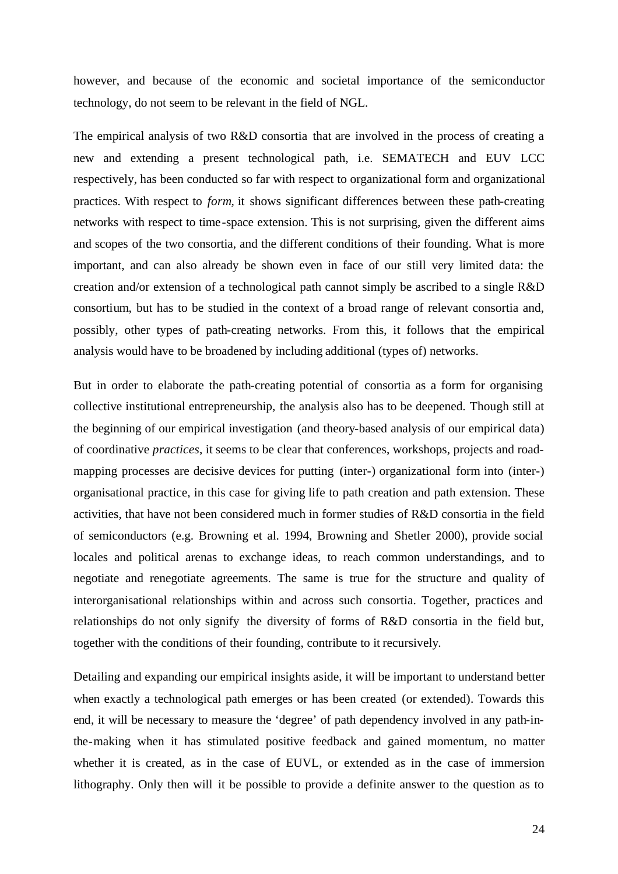however, and because of the economic and societal importance of the semiconductor technology, do not seem to be relevant in the field of NGL.

The empirical analysis of two R&D consortia that are involved in the process of creating a new and extending a present technological path, i.e. SEMATECH and EUV LCC respectively, has been conducted so far with respect to organizational form and organizational practices. With respect to *form,* it shows significant differences between these path-creating networks with respect to time-space extension. This is not surprising, given the different aims and scopes of the two consortia, and the different conditions of their founding. What is more important, and can also already be shown even in face of our still very limited data: the creation and/or extension of a technological path cannot simply be ascribed to a single R&D consortium, but has to be studied in the context of a broad range of relevant consortia and, possibly, other types of path-creating networks. From this, it follows that the empirical analysis would have to be broadened by including additional (types of) networks.

But in order to elaborate the path-creating potential of consortia as a form for organising collective institutional entrepreneurship, the analysis also has to be deepened. Though still at the beginning of our empirical investigation (and theory-based analysis of our empirical data) of coordinative *practices*, it seems to be clear that conferences, workshops, projects and roadmapping processes are decisive devices for putting (inter-) organizational form into (inter-) organisational practice, in this case for giving life to path creation and path extension. These activities, that have not been considered much in former studies of R&D consortia in the field of semiconductors (e.g. Browning et al. 1994, Browning and Shetler 2000), provide social locales and political arenas to exchange ideas, to reach common understandings, and to negotiate and renegotiate agreements. The same is true for the structure and quality of interorganisational relationships within and across such consortia. Together, practices and relationships do not only signify the diversity of forms of R&D consortia in the field but, together with the conditions of their founding, contribute to it recursively.

Detailing and expanding our empirical insights aside, it will be important to understand better when exactly a technological path emerges or has been created (or extended). Towards this end, it will be necessary to measure the 'degree' of path dependency involved in any path-inthe-making when it has stimulated positive feedback and gained momentum, no matter whether it is created, as in the case of EUVL, or extended as in the case of immersion lithography. Only then will it be possible to provide a definite answer to the question as to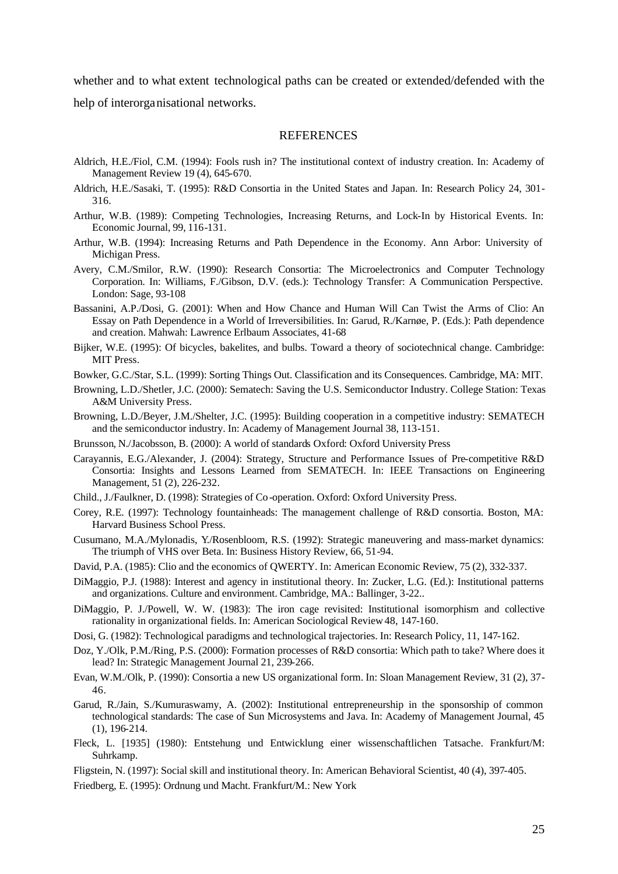whether and to what extent technological paths can be created or extended/defended with the help of interorganisational networks.

#### REFERENCES

- Aldrich, H.E./Fiol, C.M. (1994): Fools rush in? The institutional context of industry creation. In: Academy of Management Review 19 (4), 645-670.
- Aldrich, H.E./Sasaki, T. (1995): R&D Consortia in the United States and Japan. In: Research Policy 24, 301- 316.
- Arthur, W.B. (1989): Competing Technologies, Increasing Returns, and Lock-In by Historical Events. In: Economic Journal, 99, 116-131.
- Arthur, W.B. (1994): Increasing Returns and Path Dependence in the Economy. Ann Arbor: University of Michigan Press.
- Avery, C.M./Smilor, R.W. (1990): Research Consortia: The Microelectronics and Computer Technology Corporation. In: Williams, F./Gibson, D.V. (eds.): Technology Transfer: A Communication Perspective. London: Sage, 93-108
- Bassanini, A.P./Dosi, G. (2001): When and How Chance and Human Will Can Twist the Arms of Clio: An Essay on Path Dependence in a World of Irreversibilities. In: Garud, R./Karnøe, P. (Eds.): Path dependence and creation. Mahwah: Lawrence Erlbaum Associates, 41-68
- Bijker, W.E. (1995): Of bicycles, bakelites, and bulbs. Toward a theory of sociotechnical change. Cambridge: MIT Press.
- Bowker, G.C./Star, S.L. (1999): Sorting Things Out. Classification and its Consequences. Cambridge, MA: MIT.
- Browning, L.D./Shetler, J.C. (2000): Sematech: Saving the U.S. Semiconductor Industry. College Station: Texas A&M University Press.
- Browning, L.D./Beyer, J.M./Shelter, J.C. (1995): Building cooperation in a competitive industry: SEMATECH and the semiconductor industry. In: Academy of Management Journal 38, 113-151.
- Brunsson, N./Jacobsson, B. (2000): A world of standards Oxford: Oxford University Press
- Carayannis, E.G./Alexander, J. (2004): Strategy, Structure and Performance Issues of Pre-competitive R&D Consortia: Insights and Lessons Learned from SEMATECH. In: IEEE Transactions on Engineering Management, 51 (2), 226-232.
- Child., J./Faulkner, D. (1998): Strategies of Co-operation. Oxford: Oxford University Press.
- Corey, R.E. (1997): Technology fountainheads: The management challenge of R&D consortia. Boston, MA: Harvard Business School Press.
- Cusumano, M.A./Mylonadis, Y./Rosenbloom, R.S. (1992): Strategic maneuvering and mass-market dynamics: The triumph of VHS over Beta. In: Business History Review, 66, 51-94.
- David, P.A. (1985): Clio and the economics of QWERTY. In: American Economic Review, 75 (2), 332-337.
- DiMaggio, P.J. (1988): Interest and agency in institutional theory. In: Zucker, L.G. (Ed.): Institutional patterns and organizations. Culture and environment. Cambridge, MA.: Ballinger, 3-22..
- DiMaggio, P. J./Powell, W. W. (1983): The iron cage revisited: Institutional isomorphism and collective rationality in organizational fields. In: American Sociological Review48, 147-160.
- Dosi, G. (1982): Technological paradigms and technological trajectories. In: Research Policy, 11, 147-162.
- Doz, Y./Olk, P.M./Ring, P.S. (2000): Formation processes of R&D consortia: Which path to take? Where does it lead? In: Strategic Management Journal 21, 239-266.
- Evan, W.M./Olk, P. (1990): Consortia a new US organizational form. In: Sloan Management Review, 31 (2), 37- 46.
- Garud, R./Jain, S./Kumuraswamy, A. (2002): Institutional entrepreneurship in the sponsorship of common technological standards: The case of Sun Microsystems and Java. In: Academy of Management Journal, 45 (1), 196-214.
- Fleck, L. [1935] (1980): Entstehung und Entwicklung einer wissenschaftlichen Tatsache. Frankfurt/M: Suhrkamp.
- Fligstein, N. (1997): Social skill and institutional theory. In: American Behavioral Scientist, 40 (4), 397-405.
- Friedberg, E. (1995): Ordnung und Macht. Frankfurt/M.: New York